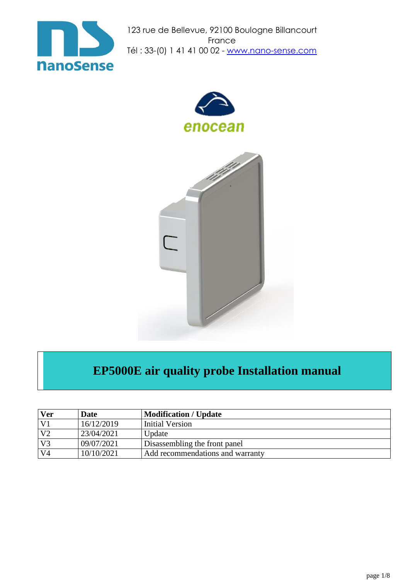





### **EP5000E air quality probe Installation manual**

| <b>Ver</b>     | <b>Date</b> | <b>Modification / Update</b>     |
|----------------|-------------|----------------------------------|
| $\mathbf{V}^1$ | 16/12/2019  | Initial Version                  |
| V <sub>2</sub> | 23/04/2021  | Update                           |
| $\overline{V}$ | 09/07/2021  | Disassembling the front panel    |
| V <sub>4</sub> | 10/10/2021  | Add recommendations and warranty |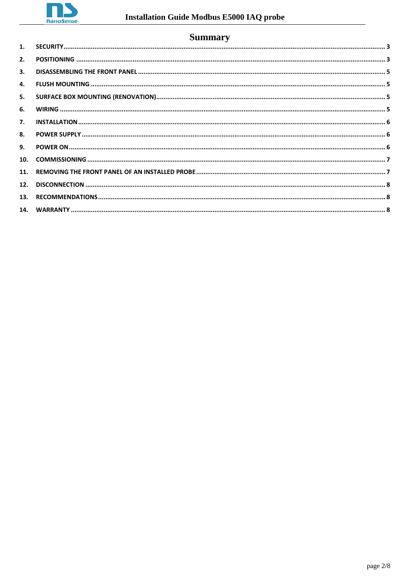

|              | <b>Summary</b> |  |  |  |  |
|--------------|----------------|--|--|--|--|
| $\mathbf{1}$ |                |  |  |  |  |
| 2.           |                |  |  |  |  |
| 3.           |                |  |  |  |  |
| 4.           |                |  |  |  |  |
| 5.           |                |  |  |  |  |
| 6.           |                |  |  |  |  |
| 7.           |                |  |  |  |  |
| 8.           |                |  |  |  |  |
| 9.           |                |  |  |  |  |
| 10.          |                |  |  |  |  |
| 11.          |                |  |  |  |  |
| 12.          |                |  |  |  |  |
| 13.          |                |  |  |  |  |
|              |                |  |  |  |  |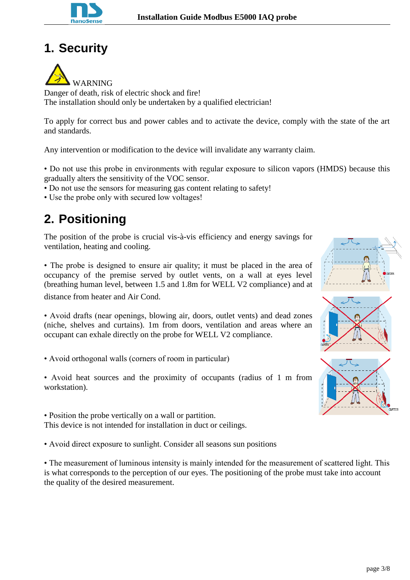#### <span id="page-2-0"></span>**1. Security**



Danger of death, risk of electric shock and fire! The installation should only be undertaken by a qualified electrician!

To apply for correct bus and power cables and to activate the device, comply with the state of the art and standards.

Any intervention or modification to the device will invalidate any warranty claim.

• Do not use this probe in environments with regular exposure to silicon vapors (HMDS) because this gradually alters the sensitivity of the VOC sensor.

• Do not use the sensors for measuring gas content relating to safety!

• Use the probe only with secured low voltages!

### <span id="page-2-1"></span>**2. Positioning**

The position of the probe is crucial vis-à-vis efficiency and energy savings for ventilation, heating and cooling.

• The probe is designed to ensure air quality; it must be placed in the area of occupancy of the premise served by outlet vents, on a wall at eyes level (breathing human level, between 1.5 and 1.8m for WELL V2 compliance) and at distance from heater and Air Cond.

• Avoid drafts (near openings, blowing air, doors, outlet vents) and dead zones (niche, shelves and curtains). 1m from doors, ventilation and areas where an occupant can exhale directly on the probe for WELL V2 compliance.

- Avoid orthogonal walls (corners of room in particular)
- Avoid heat sources and the proximity of occupants (radius of 1 m from workstation).

• Position the probe vertically on a wall or partition. This device is not intended for installation in duct or ceilings.

• Avoid direct exposure to sunlight. Consider all seasons sun positions

• The measurement of luminous intensity is mainly intended for the measurement of scattered light. This is what corresponds to the perception of our eyes. The positioning of the probe must take into account the quality of the desired measurement.

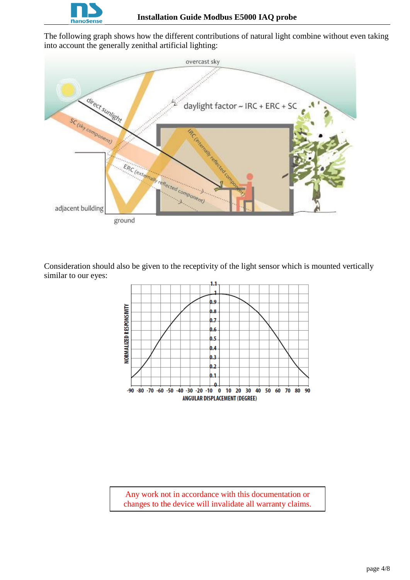

The following graph shows how the different contributions of natural light combine without even taking into account the generally zenithal artificial lighting:



Consideration should also be given to the receptivity of the light sensor which is mounted vertically similar to our eyes:



Any work not in accordance with this documentation or changes to the device will invalidate all warranty claims.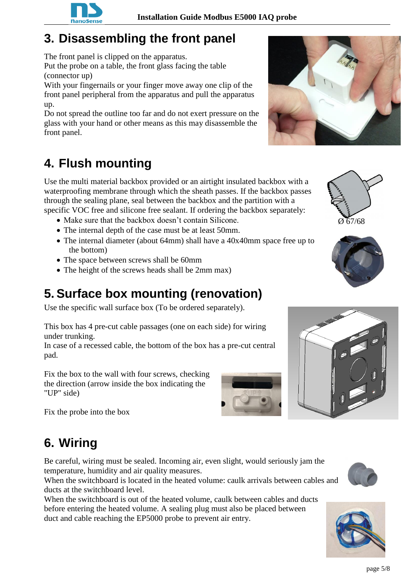

# <span id="page-4-0"></span>**3. Disassembling the front panel**

The front panel is clipped on the apparatus.

Put the probe on a table, the front glass facing the table (connector up)

With your fingernails or your finger move away one clip of the front panel peripheral from the apparatus and pull the apparatus up.

Do not spread the outline too far and do not exert pressure on the glass with your hand or other means as this may disassemble the front panel.

# <span id="page-4-1"></span>**4. Flush mounting**

Use the multi material backbox provided or an airtight insulated backbox with a waterproofing membrane through which the sheath passes. If the backbox passes through the sealing plane, seal between the backbox and the partition with a specific VOC free and silicone free sealant. If ordering the backbox separately:

- Make sure that the backbox doesn't contain Silicone.
- The internal depth of the case must be at least 50mm.
- The internal diameter (about 64mm) shall have a 40x40mm space free up to the bottom)
- The space between screws shall be 60mm
- The height of the screws heads shall be 2mm max)

### <span id="page-4-2"></span>**5. Surface box mounting (renovation)**

Use the specific wall surface box (To be ordered separately).

This box has 4 pre-cut cable passages (one on each side) for wiring under trunking.

In case of a recessed cable, the bottom of the box has a pre-cut central pad.

Fix the box to the wall with four screws, checking the direction (arrow inside the box indicating the "UP" side)



Fix the probe into the box

### <span id="page-4-3"></span>**6. Wiring**

Be careful, wiring must be sealed. Incoming air, even slight, would seriously jam the temperature, humidity and air quality measures.

When the switchboard is located in the heated volume: caulk arrivals between cables and ducts at the switchboard level.

When the switchboard is out of the heated volume, caulk between cables and ducts before entering the heated volume. A sealing plug must also be placed between duct and cable reaching the EP5000 probe to prevent air entry.









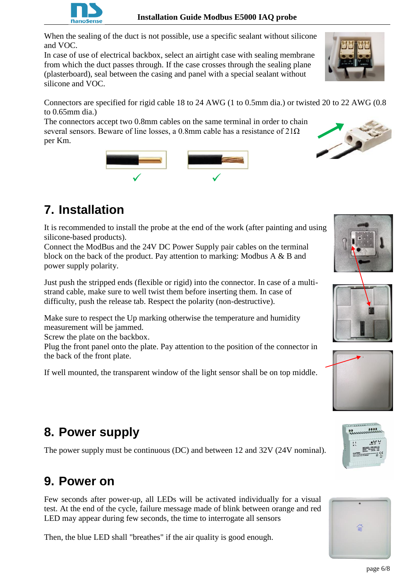

When the sealing of the duct is not possible, use a specific sealant without silicone and VOC.

In case of use of electrical backbox, select an airtight case with sealing membrane from which the duct passes through. If the case crosses through the sealing plane (plasterboard), seal between the casing and panel with a special sealant without silicone and VOC.



The connectors accept two 0.8mm cables on the same terminal in order to chain several sensors. Beware of line losses, a 0.8mm cable has a resistance of  $21\Omega$ per Km.



# <span id="page-5-0"></span>**7. Installation**

It is recommended to install the probe at the end of the work (after painting and using silicone-based products).

Connect the ModBus and the 24V DC Power Supply pair cables on the terminal block on the back of the product. Pay attention to marking: Modbus A & B and power supply polarity.

Just push the stripped ends (flexible or rigid) into the connector. In case of a multistrand cable, make sure to well twist them before inserting them. In case of difficulty, push the release tab. Respect the polarity (non-destructive).

Make sure to respect the Up marking otherwise the temperature and humidity measurement will be jammed.

Screw the plate on the backbox.

Plug the front panel onto the plate. Pay attention to the position of the connector in the back of the front plate.

If well mounted, the transparent window of the light sensor shall be on top middle.

### <span id="page-5-1"></span>**8. Power supply**

The power supply must be continuous (DC) and between 12 and 32V (24V nominal).

#### <span id="page-5-2"></span>**9. Power on**

Few seconds after power-up, all LEDs will be activated individually for a visual test. At the end of the cycle, failure message made of blink between orange and red LED may appear during few seconds, the time to interrogate all sensors

Then, the blue LED shall "breathes" if the air quality is good enough.













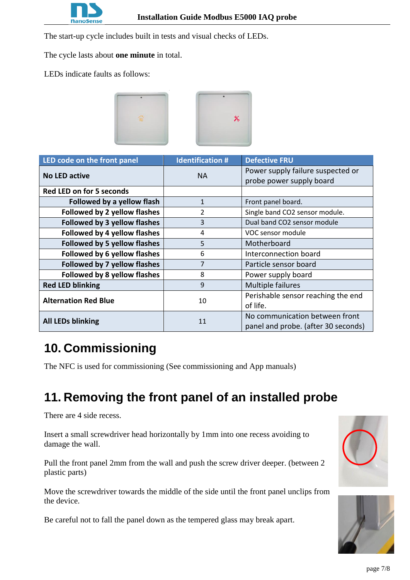

The start-up cycle includes built in tests and visual checks of LEDs.

The cycle lasts about **one minute** in total.

LEDs indicate faults as follows:



| LED code on the front panel         | <b>Identification #</b> | <b>Defective FRU</b>                |
|-------------------------------------|-------------------------|-------------------------------------|
| <b>No LED active</b>                | <b>NA</b>               | Power supply failure suspected or   |
|                                     |                         | probe power supply board            |
| <b>Red LED on for 5 seconds</b>     |                         |                                     |
| Followed by a yellow flash          | $\mathbf{1}$            | Front panel board.                  |
| Followed by 2 yellow flashes        | $\overline{2}$          | Single band CO2 sensor module.      |
| <b>Followed by 3 yellow flashes</b> | 3                       | Dual band CO2 sensor module         |
| Followed by 4 yellow flashes        | 4                       | VOC sensor module                   |
| <b>Followed by 5 yellow flashes</b> | 5                       | Motherboard                         |
| Followed by 6 yellow flashes        | 6                       | Interconnection board               |
| Followed by 7 yellow flashes        | 7                       | Particle sensor board               |
| Followed by 8 yellow flashes        | 8                       | Power supply board                  |
| <b>Red LED blinking</b>             | 9                       | Multiple failures                   |
| <b>Alternation Red Blue</b>         | 10                      | Perishable sensor reaching the end  |
|                                     |                         | of life.                            |
|                                     | 11                      | No communication between front      |
| <b>All LEDs blinking</b>            |                         | panel and probe. (after 30 seconds) |

### <span id="page-6-0"></span>**10. Commissioning**

The NFC is used for commissioning (See commissioning and App manuals)

#### <span id="page-6-1"></span>**11. Removing the front panel of an installed probe**

There are 4 side recess.

Insert a small screwdriver head horizontally by 1mm into one recess avoiding to damage the wall.

Pull the front panel 2mm from the wall and push the screw driver deeper. (between 2 plastic parts)

Move the screwdriver towards the middle of the side until the front panel unclips from the device.

Be careful not to fall the panel down as the tempered glass may break apart.